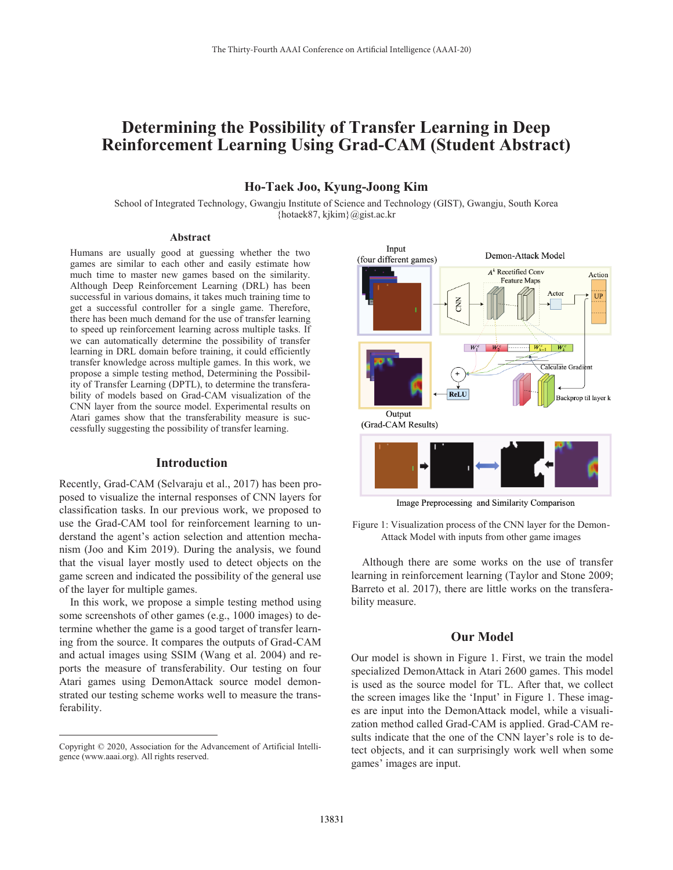# **Determining the Possibility of Transfer Learning in Deep Reinforcement Learning Using Grad-CAM (Student Abstract)**

## **Ho-Taek Joo, Kyung-Joong Kim**

School of Integrated Technology, Gwangju Institute of Science and Technology (GIST), Gwangju, South Korea {hotaek87, kjkim}@gist.ac.kr

### **Abstract**

Humans are usually good at guessing whether the two games are similar to each other and easily estimate how much time to master new games based on the similarity. Although Deep Reinforcement Learning (DRL) has been successful in various domains, it takes much training time to get a successful controller for a single game. Therefore, there has been much demand for the use of transfer learning to speed up reinforcement learning across multiple tasks. If we can automatically determine the possibility of transfer learning in DRL domain before training, it could efficiently transfer knowledge across multiple games. In this work, we propose a simple testing method, Determining the Possibility of Transfer Learning (DPTL), to determine the transferability of models based on Grad-CAM visualization of the CNN layer from the source model. Experimental results on Atari games show that the transferability measure is successfully suggesting the possibility of transfer learning.

#### **Introduction**

Recently, Grad-CAM (Selvaraju et al., 2017) has been proposed to visualize the internal responses of CNN layers for classification tasks. In our previous work, we proposed to use the Grad-CAM tool for reinforcement learning to understand the agent's action selection and attention mechanism (Joo and Kim 2019). During the analysis, we found that the visual layer mostly used to detect objects on the game screen and indicated the possibility of the general use of the layer for multiple games.

In this work, we propose a simple testing method using some screenshots of other games (e.g., 1000 images) to determine whether the game is a good target of transfer learning from the source. It compares the outputs of Grad-CAM and actual images using SSIM (Wang et al. 2004) and reports the measure of transferability. Our testing on four Atari games using DemonAttack source model demonstrated our testing scheme works well to measure the transferability.

 $\overline{a}$ 



Image Preprocessing and Similarity Comparison

Although there are some works on the use of transfer learning in reinforcement learning (Taylor and Stone 2009; Barreto et al. 2017), there are little works on the transferability measure.

## **Our Model**

Our model is shown in Figure 1. First, we train the model specialized DemonAttack in Atari 2600 games. This model is used as the source model for TL. After that, we collect the screen images like the 'Input' in Figure 1. These images are input into the DemonAttack model, while a visualization method called Grad-CAM is applied. Grad-CAM results indicate that the one of the CNN layer's role is to detect objects, and it can surprisingly work well when some games' images are input.

Copyright © 2020, Association for the Advancement of Artificial Intelligence (www.aaai.org). All rights reserved.

Figure 1: Visualization process of the CNN layer for the Demon-Attack Model with inputs from other game images